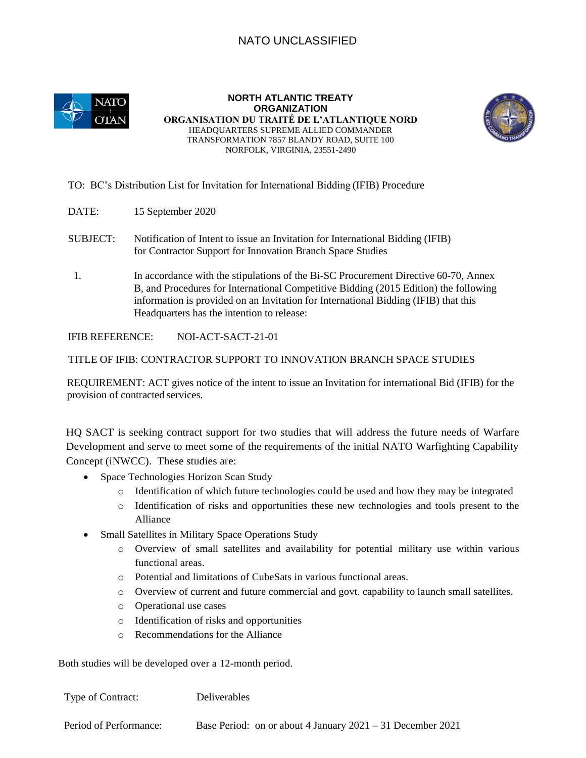## NATO UNCLASSIFIED



**NORTH ATLANTIC TREATY ORGANIZATION ORGANISATION DU TRAITÉ DE L'ATLANTIQUE NORD**  HEADQUARTERS SUPREME ALLIED COMMANDER TRANSFORMATION 7857 BLANDY ROAD, SUITE 100 NORFOLK, VIRGINIA, 23551-2490



TO: BC's Distribution List for Invitation for International Bidding (IFIB) Procedure

- DATE: 15 September 2020
- SUBJECT: Notification of Intent to issue an Invitation for International Bidding (IFIB) for Contractor Support for Innovation Branch Space Studies
- 1. In accordance with the stipulations of the Bi-SC Procurement Directive 60-70, Annex B, and Procedures for International Competitive Bidding (2015 Edition) the following information is provided on an Invitation for International Bidding (IFIB) that this Headquarters has the intention to release:

IFIB REFERENCE: NOI-ACT-SACT-21-01

TITLE OF IFIB: CONTRACTOR SUPPORT TO INNOVATION BRANCH SPACE STUDIES

REQUIREMENT: ACT gives notice of the intent to issue an Invitation for international Bid (IFIB) for the provision of contracted services.

HQ SACT is seeking contract support for two studies that will address the future needs of Warfare Development and serve to meet some of the requirements of the initial NATO Warfighting Capability Concept (iNWCC). These studies are:

- Space Technologies Horizon Scan Study
	- o Identification of which future technologies could be used and how they may be integrated
	- o Identification of risks and opportunities these new technologies and tools present to the Alliance
- Small Satellites in Military Space Operations Study
	- o Overview of small satellites and availability for potential military use within various functional areas.
	- o Potential and limitations of CubeSats in various functional areas.
	- o Overview of current and future commercial and govt. capability to launch small satellites.
	- o Operational use cases
	- o Identification of risks and opportunities
	- o Recommendations for the Alliance

Both studies will be developed over a 12-month period.

| Type of Contract:      | <b>Deliverables</b>                                          |
|------------------------|--------------------------------------------------------------|
| Period of Performance: | Base Period: on or about 4 January $2021 - 31$ December 2021 |